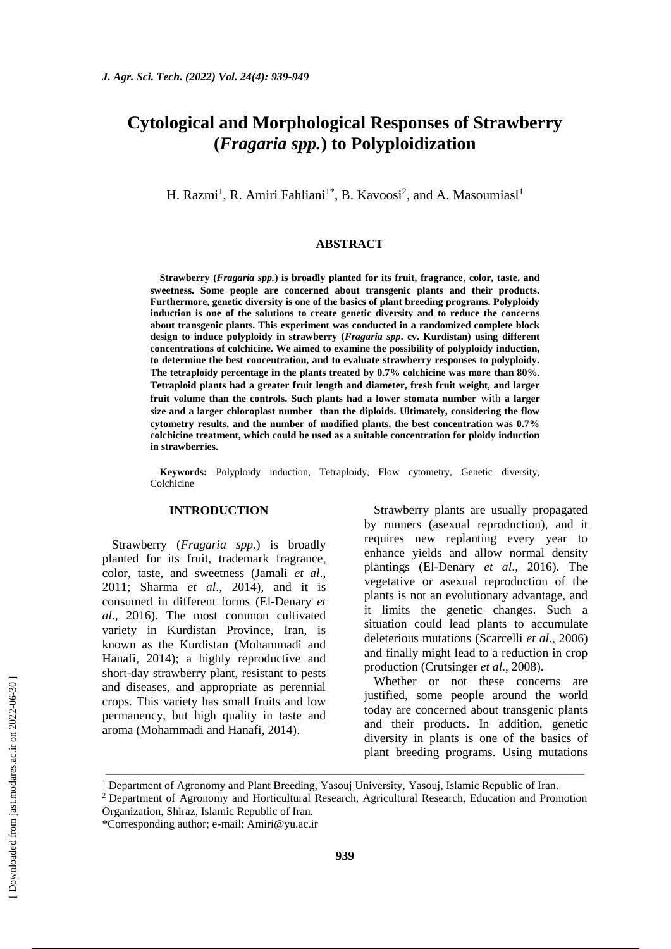# **Cytological and Morphological Responses of Strawberry (***Fragaria spp.***) to Polyploidization**

H. Razmi<sup>1</sup>, R. Amiri Fahliani<sup>1\*</sup>, B. Kavoosi<sup>2</sup>, and A. Masoumiasl<sup>1</sup>

#### **ABSTRACT**

**Strawberry (***Fragaria spp.***) is broadly planted for its fruit, fragrance**, **color, taste, and sweetness. Some people are concerned about transgenic plants and their products. Furthermore, genetic diversity is one of the basics of plant breeding programs. Polyploidy induction is one of the solutions to create genetic diversity and to reduce the concerns about transgenic plants. This experiment was conducted in a randomized complete block design to induce polyploidy in strawberry (***Fragaria spp***. cv. Kurdistan) using different concentrations of colchicine. We aimed to examine the possibility of polyploidy induction, to determine the best concentration, and to evaluate strawberry responses to polyploidy. The tetraploidy percentage in the plants treated by 0.7% colchicine was more than 80%. Tetraploid plants had a greater fruit length and diameter, fresh fruit weight, and larger fruit volume than the controls. Such plants had a lower stomata number** with **a larger size and a larger chloroplast number than the diploids. Ultimately, considering the flow cytometry results, and the number of modified plants, the best concentration was 0.7% colchicine treatment, which could be used as a suitable concentration for ploidy induction in strawberries.** 

**Keywords:** Polyploidy induction, Tetraploidy, Flow cytometry, Genetic diversity, Colchicine

# **INTRODUCTION**

Strawberry (*Fragaria spp.*) is broadly planted for its fruit, trademark fragrance, color, taste, and sweetness (Jamali *et al*., 2011; Sharma *et al*., 2014), and it is consumed in different forms (El-Denary *et al*., 2016). The most common cultivated variety in Kurdistan Province, Iran, is known as the Kurdistan (Mohammadi and Hanafi, 2014); a highly reproductive and short-day strawberry plant, resistant to pests and diseases, and appropriate as perennial crops. This variety has small fruits and low permanency, but high quality in taste and aroma (Mohammadi and Hanafi, 2014).

Strawberry plants are usually propagated by runners (asexual reproduction), and it requires new replanting every year to enhance yields and allow normal density plantings (El-Denary *et al*., 2016). The vegetative or asexual reproduction of the plants is not an evolutionary advantage, and it limits the genetic changes. Such a situation could lead plants to accumulate deleterious mutations (Scarcelli *et al*., 2006) and finally might lead to a reduction in crop production (Crutsinger *et al*., 2008).

Whether or not these concerns are justified, some people around the world today are concerned about transgenic plants and their products. In addition, genetic diversity in plants is one of the basics of plant breeding programs. Using mutations

\_\_\_\_\_\_\_\_\_\_\_\_\_\_\_\_\_\_\_\_\_\_\_\_\_\_\_\_\_\_\_\_\_\_\_\_\_\_\_\_\_\_\_\_\_\_\_\_\_\_\_\_\_\_\_\_\_\_\_\_\_\_\_\_\_\_\_\_\_\_\_\_\_\_\_\_\_

<sup>1</sup> Department of Agronomy and Plant Breeding, Yasouj University, Yasouj, Islamic Republic of Iran.

<sup>&</sup>lt;sup>2</sup> Department of Agronomy and Horticultural Research, Agricultural Research, Education and Promotion Organization, Shiraz, Islamic Republic of Iran.

<sup>\*</sup>Corresponding author; e-mail: [Amiri@yu.ac.ir](mailto:Amiri@yu.ac.ir)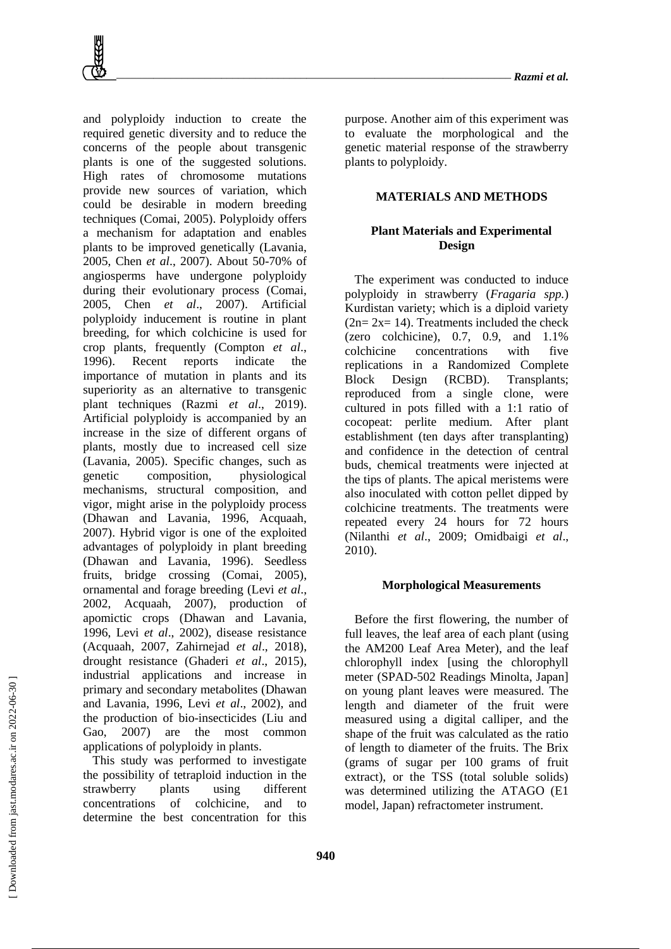and polyploidy induction to create the required genetic diversity and to reduce the concerns of the people about transgenic plants is one of the suggested solutions. High rates of chromosome mutations provide new sources of variation, which could be desirable in modern breeding techniques (Comai, 2005). Polyploidy offers a mechanism for adaptation and enables plants to be improved genetically (Lavania, 2005, Chen *et al*., 2007). About 50-70% of angiosperms have undergone polyploidy during their evolutionary process (Comai, 2005, Chen *et al*., 2007). Artificial polyploidy inducement is routine in plant breeding, for which colchicine is used for crop plants, frequently (Compton *et al*., 1996). Recent reports indicate the importance of mutation in plants and its superiority as an alternative to transgenic plant techniques (Razmi *et al*., 2019). Artificial polyploidy is accompanied by an increase in the size of different organs of plants, mostly due to increased cell size (Lavania, 2005). Specific changes, such as genetic composition, physiological mechanisms, structural composition, and vigor, might arise in the polyploidy process (Dhawan and Lavania, 1996, Acquaah, 2007). Hybrid vigor is one of the exploited advantages of polyploidy in plant breeding (Dhawan and Lavania, 1996). Seedless fruits, bridge crossing (Comai, 2005), ornamental and forage breeding (Levi *et al*., 2002, Acquaah, 2007), production of apomictic crops (Dhawan and Lavania, 1996, Levi *et al*., 2002), disease resistance (Acquaah, 2007, Zahirnejad *et al*., 2018), drought resistance (Ghaderi *et al*., 2015), industrial applications and increase in primary and secondary metabolites (Dhawan and Lavania, 1996, Levi *et al*., 2002), and the production of bio-insecticides (Liu and Gao, 2007) are the most common applications of polyploidy in plants. This study was performed to investigate

the possibility of tetraploid induction in the strawberry plants using different concentrations of colchicine, and to determine the best concentration for this

purpose. Another aim of this experiment was to evaluate the morphological and the genetic material response of the strawberry plants to polyploidy.

## **MATERIALS AND METHODS**

# **Plant Materials and Experimental Design**

The experiment was conducted to induce polyploidy in strawberry (*Fragaria spp.*) Kurdistan variety; which is a diploid variety  $(2n= 2x= 14)$ . Treatments included the check (zero colchicine), 0.7, 0.9, and 1.1% colchicine concentrations with five replications in a Randomized Complete Block Design (RCBD). Transplants; reproduced from a single clone, were cultured in pots filled with a 1:1 ratio of cocopeat: perlite medium. After plant establishment (ten days after transplanting) and confidence in the detection of central buds, chemical treatments were injected at the tips of plants. The apical meristems were also inoculated with cotton pellet dipped by colchicine treatments. The treatments were repeated every 24 hours for 72 hours (Nilanthi *et al*., 2009; Omidbaigi *et al*., 2010).

#### **Morphological Measurements**

Before the first flowering, the number of full leaves, the leaf area of each plant (using the AM200 Leaf Area Meter), and the leaf chlorophyll index [using the chlorophyll meter (SPAD-502 Readings Minolta, Japan] on young plant leaves were measured. The length and diameter of the fruit were measured using a digital calliper, and the shape of the fruit was calculated as the ratio of length to diameter of the fruits. The Brix (grams of sugar per 100 grams of fruit extract), or the TSS (total soluble solids) was determined utilizing the ATAGO (E1 model, Japan) refractometer instrument.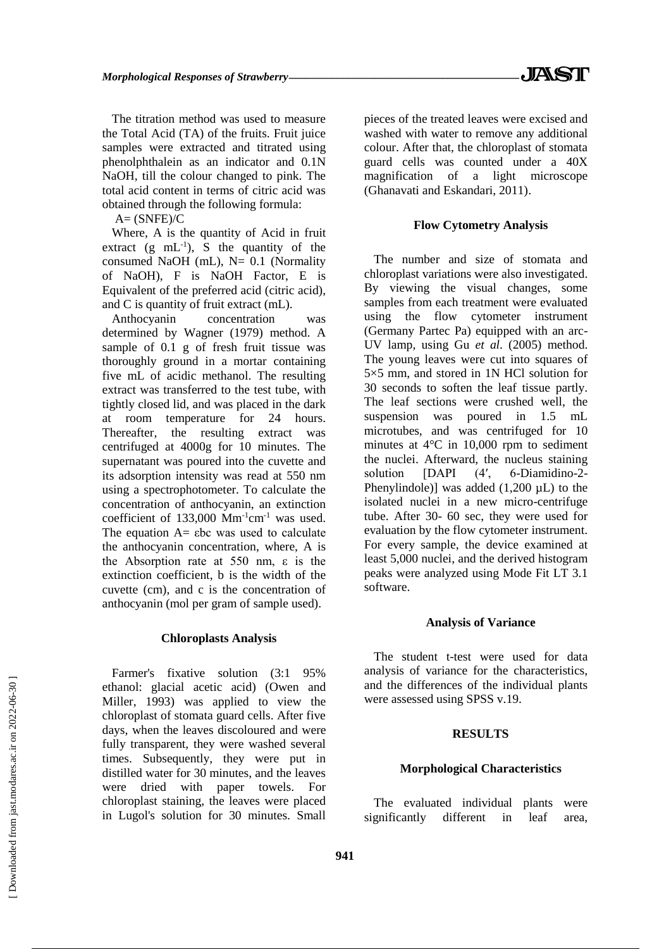The titration method was used to measure the Total Acid (TA) of the fruits. Fruit juice samples were extracted and titrated using phenolphthalein as an indicator and 0.1N NaOH, till the colour changed to pink. The total acid content in terms of citric acid was obtained through the following formula:

 $A=$  (SNFE)/C

Where, A is the quantity of Acid in fruit extract  $(g \text{ mL}^{-1})$ , S the quantity of the consumed NaOH (mL),  $N= 0.1$  (Normality of NaOH), F is NaOH Factor, E is Equivalent of the preferred acid (citric acid), and C is quantity of fruit extract (mL).

Anthocyanin concentration was determined by Wagner (1979) method. A sample of 0.1 g of fresh fruit tissue was thoroughly ground in a mortar containing five mL of acidic methanol. The resulting extract was transferred to the test tube, with tightly closed lid, and was placed in the dark at room temperature for 24 hours. Thereafter, the resulting extract was centrifuged at 4000g for 10 minutes. The supernatant was poured into the cuvette and its adsorption intensity was read at 550 nm using a spectrophotometer. To calculate the concentration of anthocyanin, an extinction coefficient of  $133,000$  Mm<sup>-1</sup>cm<sup>-1</sup> was used. The equation  $A=$  εbc was used to calculate the anthocyanin concentration, where, A is the Absorption rate at 550 nm, ε is the extinction coefficient, b is the width of the cuvette (cm), and c is the concentration of anthocyanin (mol per gram of sample used).

#### **Chloroplasts Analysis**

Farmer's fixative solution (3:1 95% ethanol: glacial acetic acid) (Owen and Miller, 1993) was applied to view the chloroplast of stomata guard cells. After five days, when the leaves discoloured and were fully transparent, they were washed several times. Subsequently, they were put in distilled water for 30 minutes, and the leaves were dried with paper towels. For chloroplast staining, the leaves were placed in Lugol's solution for 30 minutes. Small

pieces of the treated leaves were excised and washed with water to remove any additional colour. After that, the chloroplast of stomata guard cells was counted under a 40X magnification of a light microscope (Ghanavati and Eskandari, 2011).

### **Flow Cytometry Analysis**

The number and size of stomata and chloroplast variations were also investigated. By viewing the visual changes, some samples from each treatment were evaluated using the flow cytometer instrument (Germany Partec Pa) equipped with an arc-UV lamp, using Gu *et al*. (2005) method. The young leaves were cut into squares of 5×5 mm, and stored in 1N HCl solution for 30 seconds to soften the leaf tissue partly. The leaf sections were crushed well, the suspension was poured in 1.5 mL microtubes, and was centrifuged for 10 minutes at 4°C in 10,000 rpm to sediment the nuclei. Afterward, the nucleus staining solution [DAPI (4', 6-Diamidino-2-Phenylindole)] was added  $(1,200 \mu L)$  to the isolated nuclei in a new micro-centrifuge tube. After 30- 60 sec, they were used for evaluation by the flow cytometer instrument. For every sample, the device examined at least 5,000 nuclei, and the derived histogram peaks were analyzed using Mode Fit LT 3.1 software.

#### **Analysis of Variance**

The student t-test were used for data analysis of variance for the characteristics, and the differences of the individual plants were assessed using SPSS v.19.

### **RESULTS**

#### **Morphological Characteristics**

The evaluated individual plants were significantly different in leaf area,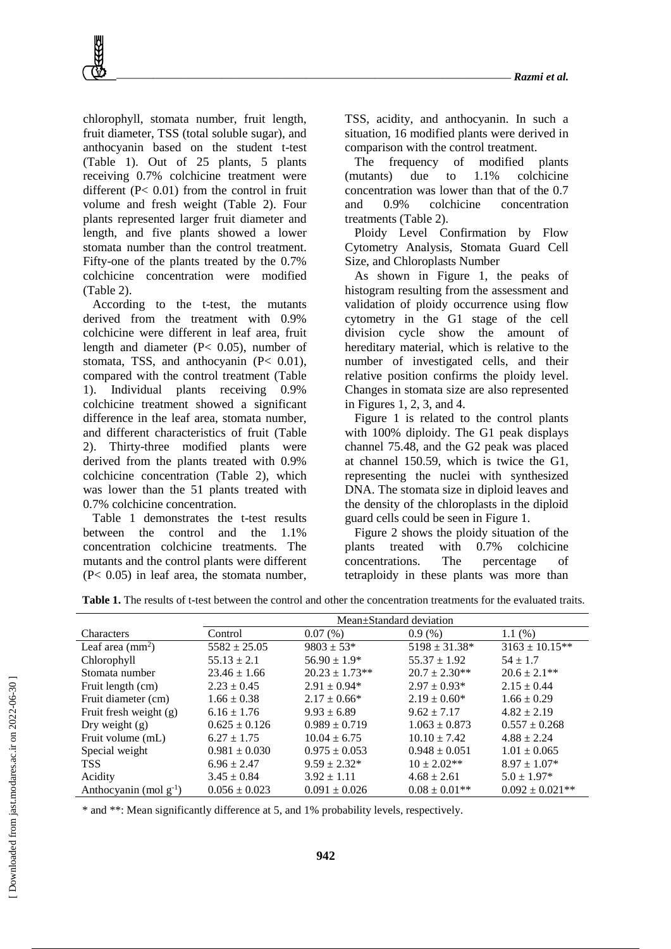chlorophyll, stomata number, fruit length, fruit diameter, TSS (total soluble sugar), and anthocyanin based on the student t-test (Table 1). Out of 25 plants, 5 plants receiving 0.7% colchicine treatment were different (P< 0.01) from the control in fruit volume and fresh weight (Table 2). Four plants represented larger fruit diameter and length, and five plants showed a lower stomata number than the control treatment. Fifty-one of the plants treated by the 0.7% colchicine concentration were modified (Table 2).

According to the t-test, the mutants derived from the treatment with 0.9% colchicine were different in leaf area, fruit length and diameter (P< 0.05), number of stomata, TSS, and anthocyanin (P< 0.01), compared with the control treatment (Table 1). Individual plants receiving 0.9% colchicine treatment showed a significant difference in the leaf area, stomata number, and different characteristics of fruit (Table 2). Thirty-three modified plants were derived from the plants treated with 0.9% colchicine concentration (Table 2), which was lower than the 51 plants treated with 0.7% colchicine concentration.

Table 1 demonstrates the t-test results between the control and the 1.1% concentration colchicine treatments. The mutants and the control plants were different (P< 0.05) in leaf area, the stomata number,

TSS, acidity, and anthocyanin. In such a situation, 16 modified plants were derived in comparison with the control treatment.

The frequency of modified plants (mutants) due to 1.1% colchicine concentration was lower than that of the 0.7 and 0.9% colchicine concentration treatments (Table 2).

Ploidy Level Confirmation by Flow Cytometry Analysis, Stomata Guard Cell Size, and Chloroplasts Number

As shown in Figure 1, the peaks of histogram resulting from the assessment and validation of ploidy occurrence using flow cytometry in the G1 stage of the cell division cycle show the amount of hereditary material, which is relative to the number of investigated cells, and their relative position confirms the ploidy level. Changes in stomata size are also represented in Figures 1, 2, 3, and 4.

Figure 1 is related to the control plants with 100% diploidy. The G1 peak displays channel 75.48, and the G2 peak was placed at channel 150.59, which is twice the G1, representing the nuclei with synthesized DNA. The stomata size in diploid leaves and the density of the chloroplasts in the diploid guard cells could be seen in Figure 1.

Figure 2 shows the ploidy situation of the plants treated with 0.7% colchicine concentrations. The percentage of tetraploidy in these plants was more than

|                             | Mean±Standard deviation |                    |                    |                      |  |  |  |  |  |  |
|-----------------------------|-------------------------|--------------------|--------------------|----------------------|--|--|--|--|--|--|
| Characters                  | Control                 | 0.07(%)            | 0.9(%)             | 1.1(%)               |  |  |  |  |  |  |
| Leaf area $(mm^2)$          | $5582 \pm 25.05$        | $9803 \pm 53*$     | $5198 \pm 31.38^*$ | $3163 \pm 10.15$ **  |  |  |  |  |  |  |
| Chlorophyll                 | $55.13 \pm 2.1$         | $56.90 \pm 1.9^*$  | $55.37 \pm 1.92$   | $54 \pm 1.7$         |  |  |  |  |  |  |
| Stomata number              | $23.46 \pm 1.66$        | $20.23 \pm 1.73**$ | $20.7 \pm 2.30**$  | $20.6 \pm 2.1**$     |  |  |  |  |  |  |
| Fruit length (cm)           | $2.23 \pm 0.45$         | $2.91 \pm 0.94*$   | $2.97 \pm 0.93*$   | $2.15 \pm 0.44$      |  |  |  |  |  |  |
| Fruit diameter (cm)         | $1.66 \pm 0.38$         | $2.17 \pm 0.66*$   | $2.19 \pm 0.60*$   | $1.66 \pm 0.29$      |  |  |  |  |  |  |
| Fruit fresh weight (g)      | $6.16 \pm 1.76$         | $9.93 \pm 6.89$    | $9.62 \pm 7.17$    | $4.82 \pm 2.19$      |  |  |  |  |  |  |
| Dry weight $(g)$            | $0.625 \pm 0.126$       | $0.989 \pm 0.719$  | $1.063 \pm 0.873$  | $0.557 \pm 0.268$    |  |  |  |  |  |  |
| Fruit volume (mL)           | $6.27 \pm 1.75$         | $10.04 \pm 6.75$   | $10.10 \pm 7.42$   | $4.88 \pm 2.24$      |  |  |  |  |  |  |
| Special weight              | $0.981 \pm 0.030$       | $0.975 \pm 0.053$  | $0.948 \pm 0.051$  | $1.01 \pm 0.065$     |  |  |  |  |  |  |
| <b>TSS</b>                  | $6.96 \pm 2.47$         | $9.59 \pm 2.32^*$  | $10 \pm 2.02**$    | $8.97 \pm 1.07*$     |  |  |  |  |  |  |
| Acidity                     | $3.45 \pm 0.84$         | $3.92 \pm 1.11$    | $4.68 \pm 2.61$    | $5.0 \pm 1.97*$      |  |  |  |  |  |  |
| Anthocyanin (mol $g^{-1}$ ) | $0.056 \pm 0.023$       | $0.091 \pm 0.026$  | $0.08 \pm 0.01$ ** | $0.092 \pm 0.021$ ** |  |  |  |  |  |  |

**Table 1.** The results of t-test between the control and other the concentration treatments for the evaluated traits.

\* and \*\*: Mean significantly difference at 5, and 1% probability levels, respectively.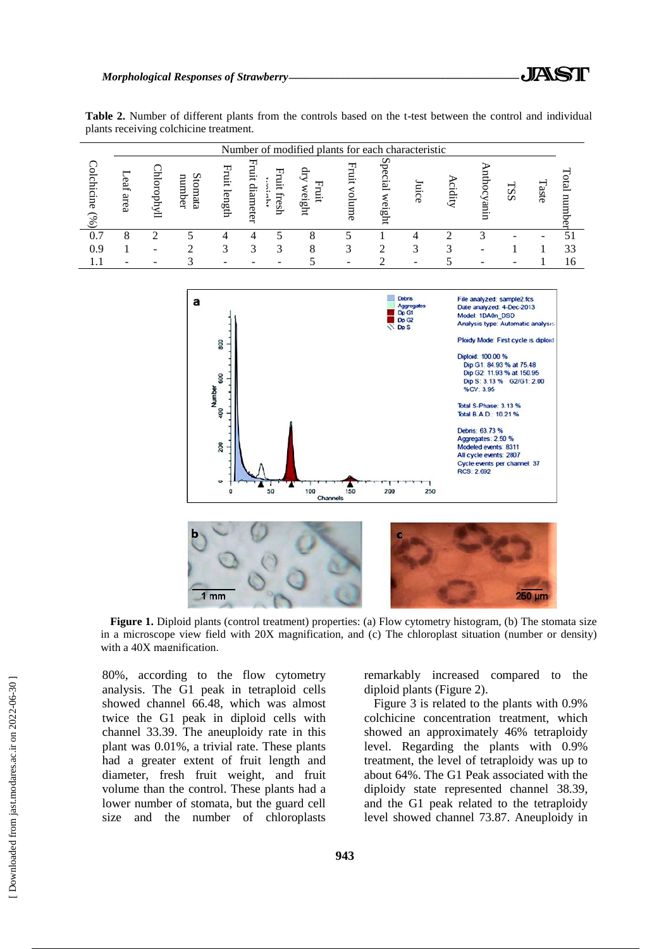|  |  |                                        |  |  |  |  |  |  | <b>Table 2.</b> Number of different plants from the controls based on the t-test between the control and individual |
|--|--|----------------------------------------|--|--|--|--|--|--|---------------------------------------------------------------------------------------------------------------------|
|  |  | plants receiving colchicine treatment. |  |  |  |  |  |  |                                                                                                                     |

|                          | Number of modified plants for each characteristic |     |                         |             |                    |               |              |   |                        |     |      |             |    |       |    |
|--------------------------|---------------------------------------------------|-----|-------------------------|-------------|--------------------|---------------|--------------|---|------------------------|-----|------|-------------|----|-------|----|
| chicine<br>$\mathcal{S}$ | Ĕ,<br>area                                        | Ţпу | ∽<br>number<br>Ξ<br>gta | Ę<br>length | Ë,<br>은.<br>ameter | iui,<br>rresh | verght<br>Ξ. | 톱 | c<br>₩<br>ھ<br>₫<br>ğβ | mce | qit. | Ë<br>റ<br>g | SS | Taste | ವ  |
|                          |                                                   |     |                         |             |                    |               |              |   |                        |     |      |             |    |       |    |
| 0.9                      |                                                   |     |                         |             |                    |               |              |   |                        |     |      |             |    |       | 33 |
|                          |                                                   |     |                         |             |                    |               |              |   |                        |     |      |             |    |       |    |



**Figure 1.** Diploid plants (control treatment) properties: (a) Flow cytometry histogram, (b) The stomata size in a microscope view field with 20X magnification, and (c) The chloroplast situation (number or density) with a 40X magnification.

80%, according to the flow cytometry analysis. The G1 peak in tetraploid cells showed channel 66.48, which was almost twice the G1 peak in diploid cells with channel 33.39. The aneuploidy rate in this plant was 0.01%, a trivial rate. These plants had a greater extent of fruit length and diameter, fresh fruit weight, and fruit volume than the control. These plants had a lower number of stomata, but the guard cell size and the number of chloroplasts

remarkably increased compared to the diploid plants (Figure 2).

Figure 3 is related to the plants with 0.9% colchicine concentration treatment, which showed an approximately 46% tetraploidy level. Regarding the plants with 0.9% treatment, the level of tetraploidy was up to about 64%. The G1 Peak associated with the diploidy state represented channel 38.39, and the G1 peak related to the tetraploidy level showed channel 73.87. Aneuploidy in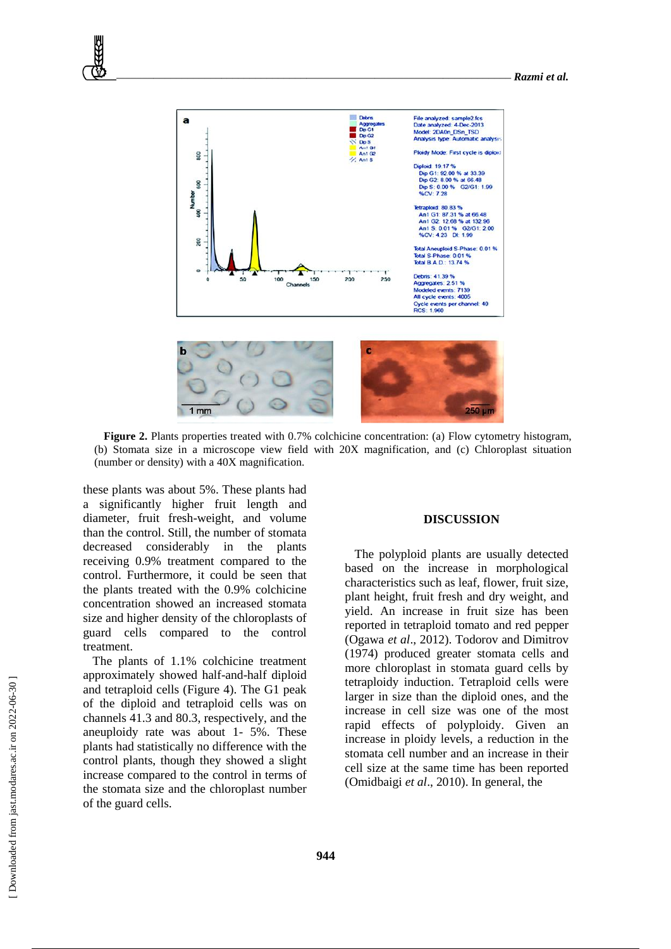

**Figure 2.** Plants properties treated with 0.7% colchicine concentration: (a) Flow cytometry histogram, (b) Stomata size in a microscope view field with 20X magnification, and (c) Chloroplast situation (number or density) with a 40X magnification.

these plants was about 5%. These plants had a significantly higher fruit length and diameter, fruit fresh-weight, and volume than the control. Still, the number of stomata decreased considerably in the plants receiving 0.9% treatment compared to the control. Furthermore, it could be seen that the plants treated with the 0.9% colchicine concentration showed an increased stomata size and higher density of the chloroplasts of guard cells compared to the control treatment.

The plants of 1.1% colchicine treatment approximately showed half-and-half diploid and tetraploid cells (Figure 4). The G1 peak of the diploid and tetraploid cells was on channels 41.3 and 80.3, respectively, and the aneuploidy rate was about 1- 5%. These plants had statistically no difference with the control plants, though they showed a slight increase compared to the control in terms of the stomata size and the chloroplast number of the guard cells.

### **DISCUSSION**

The polyploid plants are usually detected based on the increase in morphological characteristics such as leaf, flower, fruit size, plant height, fruit fresh and dry weight, and yield. An increase in fruit size has been reported in tetraploid tomato and red pepper (Ogawa *et al*., 2012). Todorov and Dimitrov (1974) produced greater stomata cells and more chloroplast in stomata guard cells by tetraploidy induction. Tetraploid cells were larger in size than the diploid ones, and the increase in cell size was one of the most rapid effects of polyploidy. Given an increase in ploidy levels, a reduction in the stomata cell number and an increase in their cell size at the same time has been reported (Omidbaigi *et al*., 2010). In general, the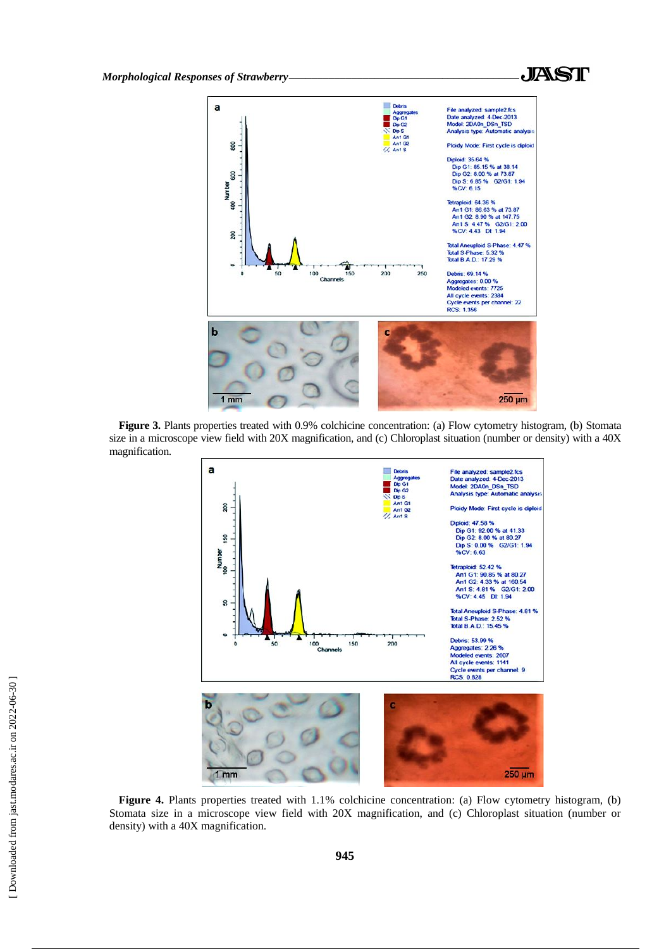



Figure 3. Plants properties treated with 0.9% colchicine concentration: (a) Flow cytometry histogram, (b) Stomata size in a microscope view field with 20X magnification, and (c) Chloroplast situation (number or density) with a 40X magnification.



**Figure 4.** Plants properties treated with 1.1% colchicine concentration: (a) Flow cytometry histogram, (b) Stomata size in a microscope view field with 20X magnification, and (c) Chloroplast situation (number or density) with a 40X magnification.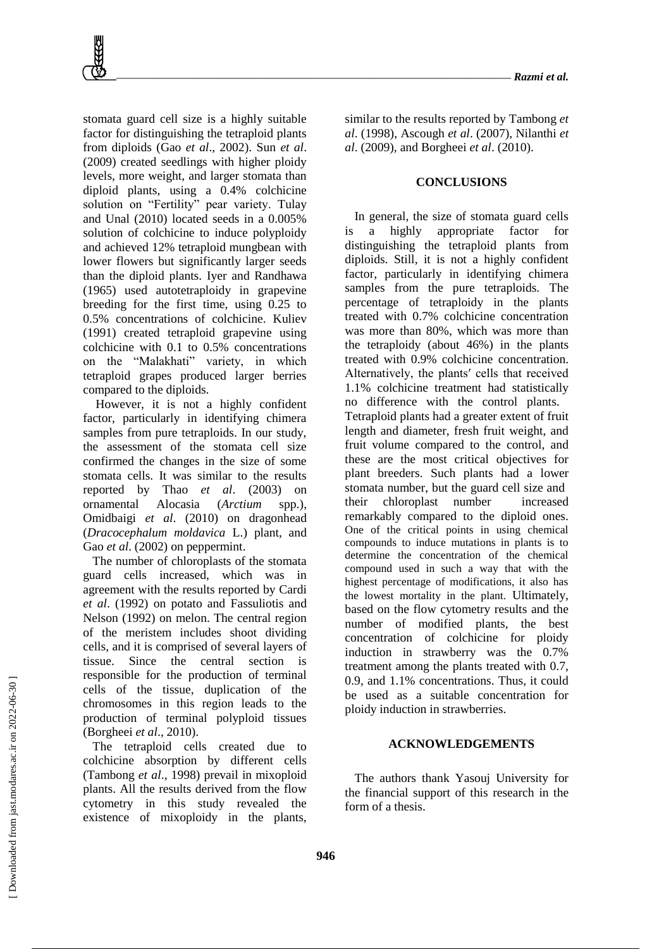stomata guard cell size is a highly suitable factor for distinguishing the tetraploid plants from diploids (Gao *et al*., 2002). Sun *et al*. (2009) created seedlings with higher ploidy levels, more weight, and larger stomata than diploid plants, using a 0.4% colchicine solution on "Fertility" pear variety. Tulay and Unal (2010) located seeds in a 0.005% solution of colchicine to induce polyploidy and achieved 12% tetraploid mungbean with lower flowers but significantly larger seeds than the diploid plants. Iyer and Randhawa (1965) used autotetraploidy in grapevine breeding for the first time, using 0.25 to 0.5% concentrations of colchicine. Kuliev (1991) created tetraploid grapevine using colchicine with 0.1 to 0.5% concentrations on the "Malakhati" variety, in which tetraploid grapes produced larger berries compared to the diploids.

However, it is not a highly confident factor, particularly in identifying chimera samples from pure tetraploids. In our study, the assessment of the stomata cell size confirmed the changes in the size of some stomata cells. It was similar to the results reported by Thao *et al*. (2003) on ornamental Alocasia (*Arctium* spp.), Omidbaigi *et al*. (2010) on dragonhead (*Dracocephalum moldavica* L.) plant, and Gao *et al.* (2002) on peppermint.

The number of chloroplasts of the stomata guard cells increased, which was in agreement with the results reported by Cardi *et al*. (1992) on potato and Fassuliotis and Nelson (1992) on melon. The central region of the meristem includes shoot dividing cells, and it is comprised of several layers of tissue. Since the central section is responsible for the production of terminal cells of the tissue, duplication of the chromosomes in this region leads to the production of terminal polyploid tissues (Borgheei *et al*., 2010).

The tetraploid cells created due to colchicine absorption by different cells (Tambong *et al*., 1998) prevail in mixoploid plants. All the results derived from the flow cytometry in this study revealed the existence of mixoploidy in the plants,

similar to the results reported by Tambong *et al*. (1998), Ascough *et al*. (2007), Nilanthi *et al*. (2009), and Borgheei *et al*. (2010).

#### **CONCLUSIONS**

In general, the size of stomata guard cells is a highly appropriate factor for distinguishing the tetraploid plants from diploids. Still, it is not a highly confident factor, particularly in identifying chimera samples from the pure tetraploids. The percentage of tetraploidy in the plants treated with 0.7% colchicine concentration was more than 80%, which was more than the tetraploidy (about 46%) in the plants treated with 0.9% colchicine concentration. Alternatively, the plantsʹ cells that received 1.1% colchicine treatment had statistically no difference with the control plants. Tetraploid plants had a greater extent of fruit length and diameter, fresh fruit weight, and fruit volume compared to the control, and these are the most critical objectives for plant breeders. Such plants had a lower stomata number, but the guard cell size and their chloroplast number increased remarkably compared to the diploid ones. One of the critical points in using chemical compounds to induce mutations in plants is to determine the concentration of the chemical compound used in such a way that with the highest percentage of modifications, it also has the lowest mortality in the plant. Ultimately, based on the flow cytometry results and the number of modified plants, the best concentration of colchicine for ploidy induction in strawberry was the 0.7% treatment among the plants treated with 0.7, 0.9, and 1.1% concentrations. Thus, it could be used as a suitable concentration for ploidy induction in strawberries.

#### **ACKNOWLEDGEMENTS**

The authors thank Yasouj University for the financial support of this research in the form of a thesis.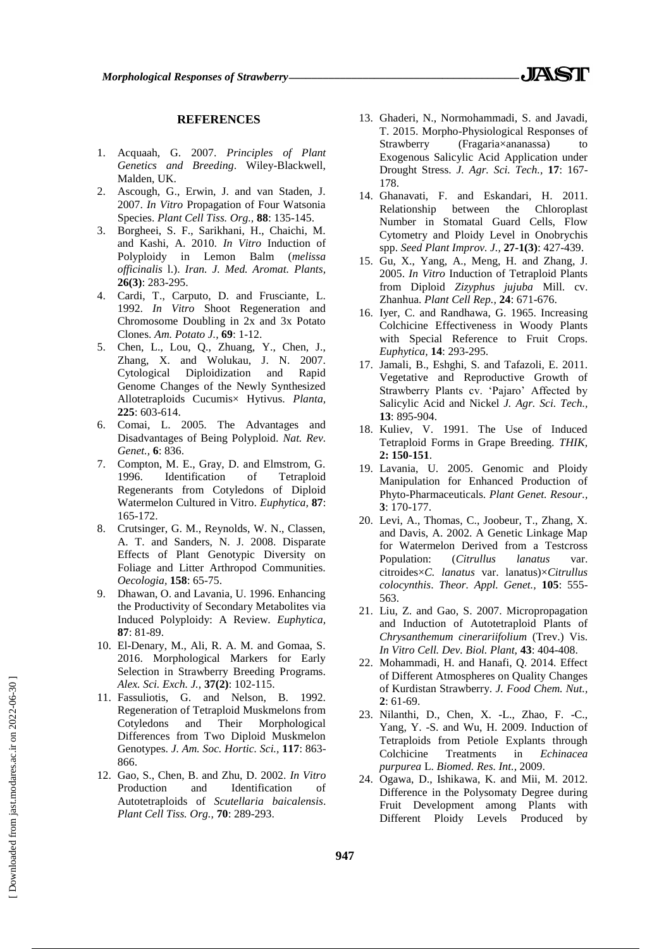## **REFERENCES**

- 1. Acquaah, G. 2007. *Principles of Plant Genetics and Breeding*. Wiley-Blackwell, Malden, UK.
- 2. Ascough, G., Erwin, J. and van Staden, J. 2007. *In Vitro* Propagation of Four Watsonia Species. *Plant Cell Tiss. Org.,* **88**: 135-145.
- 3. Borgheei, S. F., Sarikhani, H., Chaichi, M. and Kashi, A. 2010. *In Vitro* Induction of Polyploidy in Lemon Balm (*melissa officinalis* l.). *Iran. J. Med. Aromat. Plants,* **26(3)**: 283-295.
- 4. Cardi, T., Carputo, D. and Frusciante, L. 1992. *In Vitro* Shoot Regeneration and Chromosome Doubling in 2x and 3x Potato Clones. *Am. Potato J.,* **69**: 1-12.
- 5. Chen, L., Lou, Q., Zhuang, Y., Chen, J., Zhang, X. and Wolukau, J. N. 2007. Cytological Diploidization and Rapid Genome Changes of the Newly Synthesized Allotetraploids Cucumis× Hytivus. *Planta,* **225**: 603-614.
- 6. Comai, L. 2005. The Advantages and Disadvantages of Being Polyploid. *Nat. Rev. Genet.,* **6**: 836.
- 7. Compton, M. E., Gray, D. and Elmstrom, G. 1996. Identification of Tetraploid Regenerants from Cotyledons of Diploid Watermelon Cultured in Vitro. *Euphytica,* **87**: 165-172.
- 8. Crutsinger, G. M., Reynolds, W. N., Classen, A. T. and Sanders, N. J. 2008. Disparate Effects of Plant Genotypic Diversity on Foliage and Litter Arthropod Communities. *Oecologia,* **158**: 65-75.
- 9. Dhawan, O. and Lavania, U. 1996. Enhancing the Productivity of Secondary Metabolites via Induced Polyploidy: A Review. *Euphytica,* **87**: 81-89.
- 10. El-Denary, M., Ali, R. A. M. and Gomaa, S. 2016. Morphological Markers for Early Selection in Strawberry Breeding Programs. *Alex. Sci. Exch. J.,* **37(2)**: 102-115.
- 11. Fassuliotis, G. and Nelson, B. 1992. Regeneration of Tetraploid Muskmelons from Cotyledons and Their Morphological Differences from Two Diploid Muskmelon Genotypes. *J. Am. Soc. Hortic. Sci.,* **117**: 863- 866.
- 12. Gao, S., Chen, B. and Zhu, D. 2002. *In Vitro*  Production and Identification of Autotetraploids of *Scutellaria baicalensis*. *Plant Cell Tiss. Org.,* **70**: 289-293.
- 13. Ghaderi, N., Normohammadi, S. and Javadi, T. 2015. Morpho-Physiological Responses of Strawberry (Fragaria×ananassa) to Exogenous Salicylic Acid Application under Drought Stress. *J. Agr. Sci. Tech.,* **17**: 167- 178.
- 14. Ghanavati, F. and Eskandari, H. 2011. Relationship between the Chloroplast Number in Stomatal Guard Cells, Flow Cytometry and Ploidy Level in Onobrychis spp. *Seed Plant Improv. J.,* **27-1(3)**: 427-439.
- 15. Gu, X., Yang, A., Meng, H. and Zhang, J. 2005. *In Vitro* Induction of Tetraploid Plants from Diploid *Zizyphus jujuba* Mill. cv. Zhanhua. *Plant Cell Rep.,* **24**: 671-676.
- 16. Iyer, C. and Randhawa, G. 1965. Increasing Colchicine Effectiveness in Woody Plants with Special Reference to Fruit Crops. *Euphytica,* **14**: 293-295.
- 17. Jamali, B., Eshghi, S. and Tafazoli, E. 2011. Vegetative and Reproductive Growth of Strawberry Plants cv. 'Pajaro' Affected by Salicylic Acid and Nickel *J. Agr. Sci. Tech.,* **13**: 895-904.
- 18. Kuliev, V. 1991. The Use of Induced Tetraploid Forms in Grape Breeding. *THIK,* **2: 150-151**.
- 19. Lavania, U. 2005. Genomic and Ploidy Manipulation for Enhanced Production of Phyto-Pharmaceuticals. *Plant Genet. Resour.,* **3**: 170-177.
- 20. Levi, A., Thomas, C., Joobeur, T., Zhang, X. and Davis, A. 2002. A Genetic Linkage Map for Watermelon Derived from a Testcross Population: (*Citrullus lanatus* var. citroides×*C. lanatus* var. lanatus)×*Citrullus colocynthis*. *Theor. Appl. Genet.,* **105**: 555- 563.
- 21. Liu, Z. and Gao, S. 2007. Micropropagation and Induction of Autotetraploid Plants of *Chrysanthemum cinerariifolium* (Trev.) Vis. *In Vitro Cell. Dev. Biol. Plant,* **43**: 404-408.
- 22. Mohammadi, H. and Hanafi, Q. 2014. Effect of Different Atmospheres on Quality Changes of Kurdistan Strawberry. *J. Food Chem. Nut.,* **2**: 61-69.
- 23. Nilanthi, D., Chen, X. -L., Zhao, F. -C., Yang, Y. -S. and Wu, H. 2009. Induction of Tetraploids from Petiole Explants through Colchicine Treatments in *Echinacea purpurea* L. *Biomed. Res. Int.,* 2009.
- 24. Ogawa, D., Ishikawa, K. and Mii, M. 2012. Difference in the Polysomaty Degree during Fruit Development among Plants with Different Ploidy Levels Produced by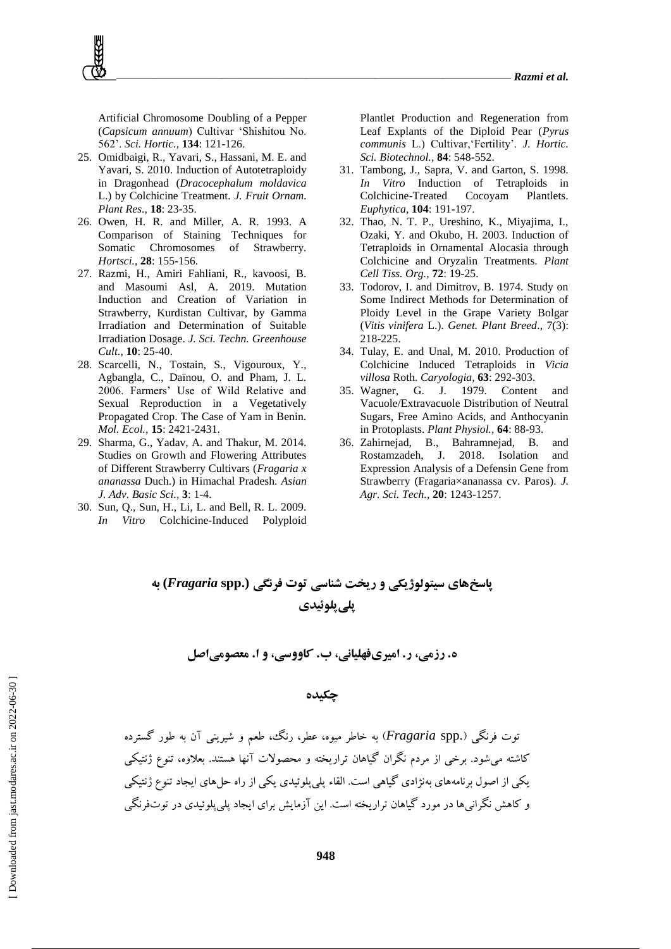Artificial Chromosome Doubling of a Pepper (*Capsicum annuum*) Cultivar 'Shishitou No. 562'. *Sci. Hortic.,* **134**: 121-126.

- 25. Omidbaigi, R., Yavari, S., Hassani, M. E. and Yavari, S. 2010. Induction of Autotetraploidy in Dragonhead (*Dracocephalum moldavica* L.) by Colchicine Treatment. *J. Fruit Ornam. Plant Res.,* **18**: 23-35.
- 26. Owen, H. R. and Miller, A. R. 1993. A Comparison of Staining Techniques for Somatic Chromosomes of Strawberry. *Hortsci.,* **28**: 155-156.
- 27. Razmi, H., Amiri Fahliani, R., kavoosi, B. and Masoumi Asl, A. 2019. Mutation Induction and Creation of Variation in Strawberry, Kurdistan Cultivar, by Gamma Irradiation and Determination of Suitable Irradiation Dosage. *J. Sci. Techn. Greenhouse Cult.,* **10**: 25-40.
- 28. Scarcelli, N., Tostain, S., Vigouroux, Y., Agbangla, C., Daïnou, O. and Pham, J. L. 2006. Farmers' Use of Wild Relative and Sexual Reproduction in a Vegetatively Propagated Crop. The Case of Yam in Benin. *Mol. Ecol.,* **15**: 2421-2431.
- 29. Sharma, G., Yadav, A. and Thakur, M. 2014. Studies on Growth and Flowering Attributes of Different Strawberry Cultivars (*Fragaria x ananassa* Duch.) in Himachal Pradesh. *Asian J. Adv. Basic Sci.,* **3**: 1-4.
- 30. Sun, Q., Sun, H., Li, L. and Bell, R. L. 2009. *In Vitro* Colchicine-Induced Polyploid

Plantlet Production and Regeneration from Leaf Explants of the Diploid Pear (*Pyrus communis* L.) Cultivar,'Fertility'. *J. Hortic. Sci. Biotechnol.,* **84**: 548-552.

- 31. Tambong, J., Sapra, V. and Garton, S. 1998. *In Vitro* Induction of Tetraploids in Colchicine-Treated Cocoyam Plantlets. *Euphytica,* **104**: 191-197.
- 32. Thao, N. T. P., Ureshino, K., Miyajima, I., Ozaki, Y. and Okubo, H. 2003. Induction of Tetraploids in Ornamental Alocasia through Colchicine and Oryzalin Treatments. *Plant Cell Tiss. Org.,* **72**: 19-25.
- 33. Todorov, I. and Dimitrov, B. 1974. Study on Some Indirect Methods for Determination of Ploidy Level in the Grape Variety Bolgar (*Vitis vinifera* L.). *Genet. Plant Breed*., 7(3): 218-225.
- 34. Tulay, E. and Unal, M. 2010. Production of Colchicine Induced Tetraploids in *Vicia villosa* Roth. *Caryologia,* **63**: 292-303.
- 35. Wagner, G. J. 1979. Content and Vacuole/Extravacuole Distribution of Neutral Sugars, Free Amino Acids, and Anthocyanin in Protoplasts. *Plant Physiol.,* **64**: 88-93.
- 36. Zahirnejad, B., Bahramnejad, B. and Rostamzadeh, J. 2018. Isolation and Expression Analysis of a Defensin Gene from Strawberry (Fragaria×ananassa cv. Paros). *J. Agr. Sci. Tech.,* **20**: 1243-1257.

# **پاسخهای سیتولوژیکی و ریخت شناسی توت فرنگی (.spp** *Fragaria* **(به پلیپلوئیدی**

**ه. رزمی، ر. امیریفهلیانی، ب. کاووسی، و ا. معصومیاصل**

## **چکیده**

توت فرنگی ).spp *Fragaria* )به خاطر میوه، عطر، رنگ، طعم و شیرینی آن به طور گسترده کاشته میشود. برخی از مردم نگران گیاهان تراریخته و محصوالت آنها هستند. بعالوه، تنوع ژنتیکی یکی از اصول برنامههای بهنژادی گیاهی است. القاء پلیپلوئیدی یکی از راه حلهای ایجاد تنوع ژنتیکی و کاهش نگرانی ها در مورد گیاهان تراریخته است. این آزمایش برای ایجاد پلی پلوئیدی در توتفرنگی